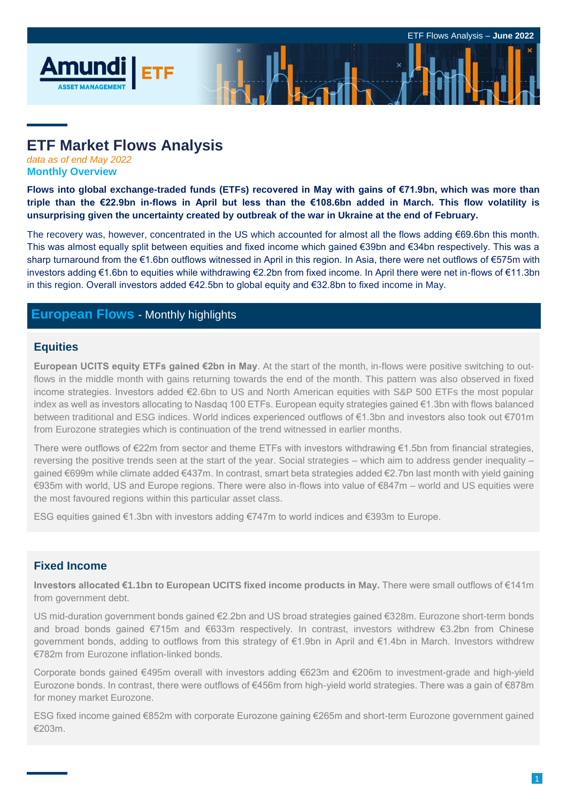# **ETF Market Flows Analysis**

*data as of end May 2022* **Monthly Overview**

**Flows into global exchange-traded funds (ETFs) recovered in May with gains of €71.9bn, which was more than triple than the €22.9bn in-flows in April but less than the €108.6bn added in March. This flow volatility is unsurprising given the uncertainty created by outbreak of the war in Ukraine at the end of February.**

The recovery was, however, concentrated in the US which accounted for almost all the flows adding €69.6bn this month. This was almost equally split between equities and fixed income which gained €39bn and €34bn respectively. This was a sharp turnaround from the €1.6bn outflows witnessed in April in this region. In Asia, there were net outflows of €575m with investors adding €1.6bn to equities while withdrawing €2.2bn from fixed income. In April there were net in-flows of €11.3bn in this region. Overall investors added €42.5bn to global equity and €32.8bn to fixed income in May.

## **European Flows** - Monthly highlights

### **Equities**

**European UCITS equity ETFs gained €2bn in May**. At the start of the month, in-flows were positive switching to outflows in the middle month with gains returning towards the end of the month. This pattern was also observed in fixed income strategies. Investors added €2.6bn to US and North American equities with S&P 500 ETFs the most popular index as well as investors allocating to Nasdaq 100 ETFs. European equity strategies gained €1.3bn with flows balanced between traditional and ESG indices. World indices experienced outflows of €1.3bn and investors also took out €701m from Eurozone strategies which is continuation of the trend witnessed in earlier months.

There were outflows of €22m from sector and theme ETFs with investors withdrawing €1.5bn from financial strategies, reversing the positive trends seen at the start of the year. Social strategies – which aim to address gender inequality – gained €699m while climate added €437m. In contrast, smart beta strategies added €2.7bn last month with yield gaining €935m with world, US and Europe regions. There were also in-flows into value of €847m – world and US equities were the most favoured regions within this particular asset class.

ESG equities gained €1.3bn with investors adding €747m to world indices and €393m to Europe.

### **Fixed Income**

**Investors allocated €1.1bn to European UCITS fixed income products in May.** There were small outflows of €141m from government debt.

US mid-duration government bonds gained €2.2bn and US broad strategies gained €328m. Eurozone short-term bonds and broad bonds gained €715m and €633m respectively. In contrast, investors withdrew €3.2bn from Chinese government bonds, adding to outflows from this strategy of €1.9bn in April and €1.4bn in March. Investors withdrew €782m from Eurozone inflation-linked bonds.

Corporate bonds gained €495m overall with investors adding €623m and €206m to investment-grade and high-yield Eurozone bonds. In contrast, there were outflows of €456m from high-yield world strategies. There was a gain of €878m for money market Eurozone.

ESG fixed income gained €852m with corporate Eurozone gaining €265m and short-term Eurozone government gained €203m.